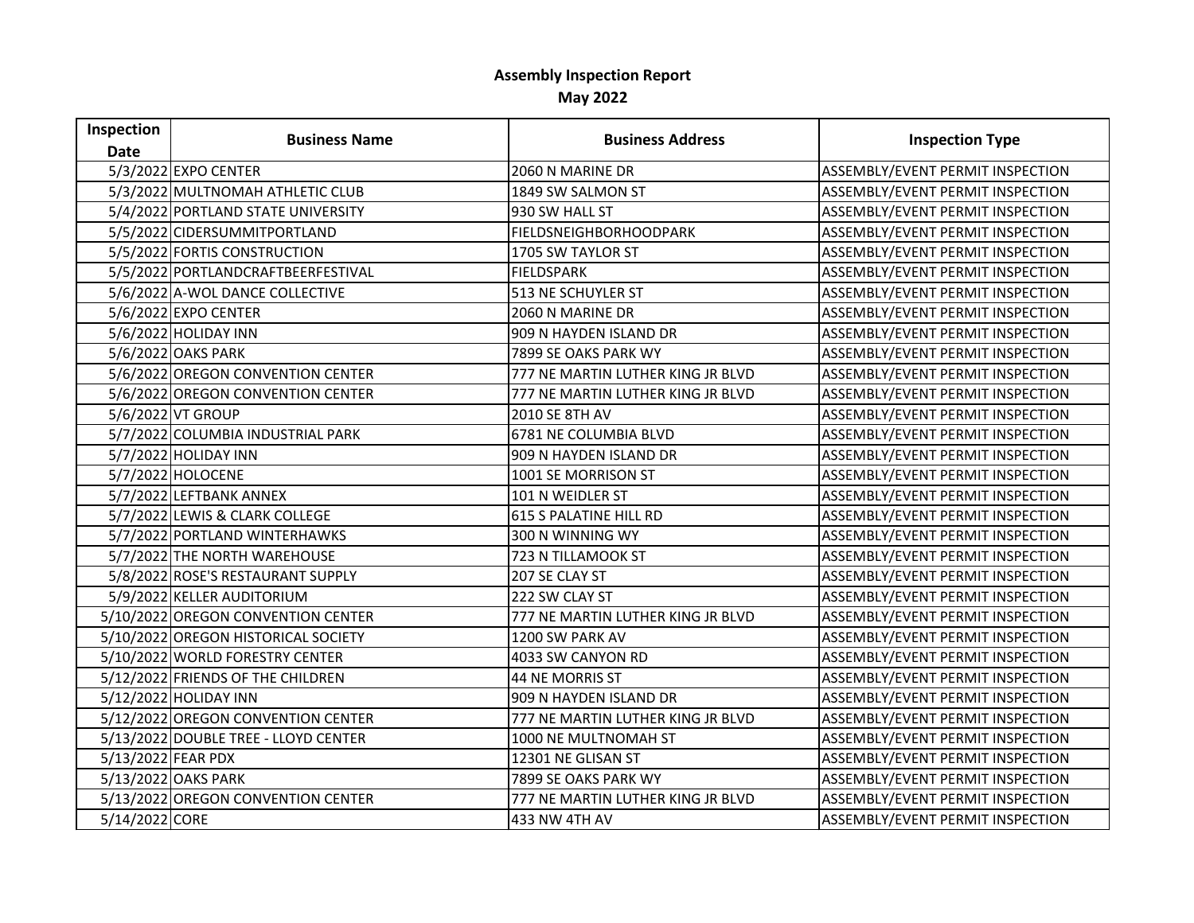## **Assembly Inspection Report May 2022**

| Inspection         | <b>Business Name</b>                 | <b>Business Address</b>           | <b>Inspection Type</b>           |
|--------------------|--------------------------------------|-----------------------------------|----------------------------------|
| <b>Date</b>        |                                      |                                   |                                  |
|                    | 5/3/2022 EXPO CENTER                 | 2060 N MARINE DR                  | ASSEMBLY/EVENT PERMIT INSPECTION |
|                    | 5/3/2022 MULTNOMAH ATHLETIC CLUB     | 1849 SW SALMON ST                 | ASSEMBLY/EVENT PERMIT INSPECTION |
|                    | 5/4/2022 PORTLAND STATE UNIVERSITY   | 930 SW HALL ST                    | ASSEMBLY/EVENT PERMIT INSPECTION |
|                    | 5/5/2022 CIDERSUMMITPORTLAND         | FIELDSNEIGHBORHOODPARK            | ASSEMBLY/EVENT PERMIT INSPECTION |
|                    | 5/5/2022 FORTIS CONSTRUCTION         | 1705 SW TAYLOR ST                 | ASSEMBLY/EVENT PERMIT INSPECTION |
|                    | 5/5/2022 PORTLANDCRAFTBEERFESTIVAL   | <b>FIELDSPARK</b>                 | ASSEMBLY/EVENT PERMIT INSPECTION |
|                    | 5/6/2022 A-WOL DANCE COLLECTIVE      | 513 NE SCHUYLER ST                | ASSEMBLY/EVENT PERMIT INSPECTION |
|                    | 5/6/2022 EXPO CENTER                 | 2060 N MARINE DR                  | ASSEMBLY/EVENT PERMIT INSPECTION |
|                    | 5/6/2022 HOLIDAY INN                 | 909 N HAYDEN ISLAND DR            | ASSEMBLY/EVENT PERMIT INSPECTION |
|                    | 5/6/2022 OAKS PARK                   | 7899 SE OAKS PARK WY              | ASSEMBLY/EVENT PERMIT INSPECTION |
|                    | 5/6/2022 OREGON CONVENTION CENTER    | 777 NE MARTIN LUTHER KING JR BLVD | ASSEMBLY/EVENT PERMIT INSPECTION |
|                    | 5/6/2022 OREGON CONVENTION CENTER    | 777 NE MARTIN LUTHER KING JR BLVD | ASSEMBLY/EVENT PERMIT INSPECTION |
|                    | 5/6/2022 VT GROUP                    | 2010 SE 8TH AV                    | ASSEMBLY/EVENT PERMIT INSPECTION |
|                    | 5/7/2022 COLUMBIA INDUSTRIAL PARK    | 6781 NE COLUMBIA BLVD             | ASSEMBLY/EVENT PERMIT INSPECTION |
|                    | 5/7/2022 HOLIDAY INN                 | 909 N HAYDEN ISLAND DR            | ASSEMBLY/EVENT PERMIT INSPECTION |
|                    | 5/7/2022 HOLOCENE                    | 1001 SE MORRISON ST               | ASSEMBLY/EVENT PERMIT INSPECTION |
|                    | 5/7/2022 LEFTBANK ANNEX              | 101 N WEIDLER ST                  | ASSEMBLY/EVENT PERMIT INSPECTION |
|                    | 5/7/2022 LEWIS & CLARK COLLEGE       | <b>615 S PALATINE HILL RD</b>     | ASSEMBLY/EVENT PERMIT INSPECTION |
|                    | 5/7/2022 PORTLAND WINTERHAWKS        | 300 N WINNING WY                  | ASSEMBLY/EVENT PERMIT INSPECTION |
|                    | 5/7/2022 THE NORTH WAREHOUSE         | 723 N TILLAMOOK ST                | ASSEMBLY/EVENT PERMIT INSPECTION |
|                    | 5/8/2022 ROSE'S RESTAURANT SUPPLY    | 207 SE CLAY ST                    | ASSEMBLY/EVENT PERMIT INSPECTION |
|                    | 5/9/2022 KELLER AUDITORIUM           | 222 SW CLAY ST                    | ASSEMBLY/EVENT PERMIT INSPECTION |
|                    | 5/10/2022 OREGON CONVENTION CENTER   | 777 NE MARTIN LUTHER KING JR BLVD | ASSEMBLY/EVENT PERMIT INSPECTION |
|                    | 5/10/2022 OREGON HISTORICAL SOCIETY  | 1200 SW PARK AV                   | ASSEMBLY/EVENT PERMIT INSPECTION |
|                    | 5/10/2022 WORLD FORESTRY CENTER      | 4033 SW CANYON RD                 | ASSEMBLY/EVENT PERMIT INSPECTION |
|                    | 5/12/2022 FRIENDS OF THE CHILDREN    | 44 NE MORRIS ST                   | ASSEMBLY/EVENT PERMIT INSPECTION |
|                    | 5/12/2022 HOLIDAY INN                | 909 N HAYDEN ISLAND DR            | ASSEMBLY/EVENT PERMIT INSPECTION |
|                    | 5/12/2022 OREGON CONVENTION CENTER   | 777 NE MARTIN LUTHER KING JR BLVD | ASSEMBLY/EVENT PERMIT INSPECTION |
|                    | 5/13/2022 DOUBLE TREE - LLOYD CENTER | 1000 NE MULTNOMAH ST              | ASSEMBLY/EVENT PERMIT INSPECTION |
| 5/13/2022 FEAR PDX |                                      | 12301 NE GLISAN ST                | ASSEMBLY/EVENT PERMIT INSPECTION |
|                    | 5/13/2022 OAKS PARK                  | 7899 SE OAKS PARK WY              | ASSEMBLY/EVENT PERMIT INSPECTION |
|                    | 5/13/2022 OREGON CONVENTION CENTER   | 777 NE MARTIN LUTHER KING JR BLVD | ASSEMBLY/EVENT PERMIT INSPECTION |
| 5/14/2022 CORE     |                                      | 433 NW 4TH AV                     | ASSEMBLY/EVENT PERMIT INSPECTION |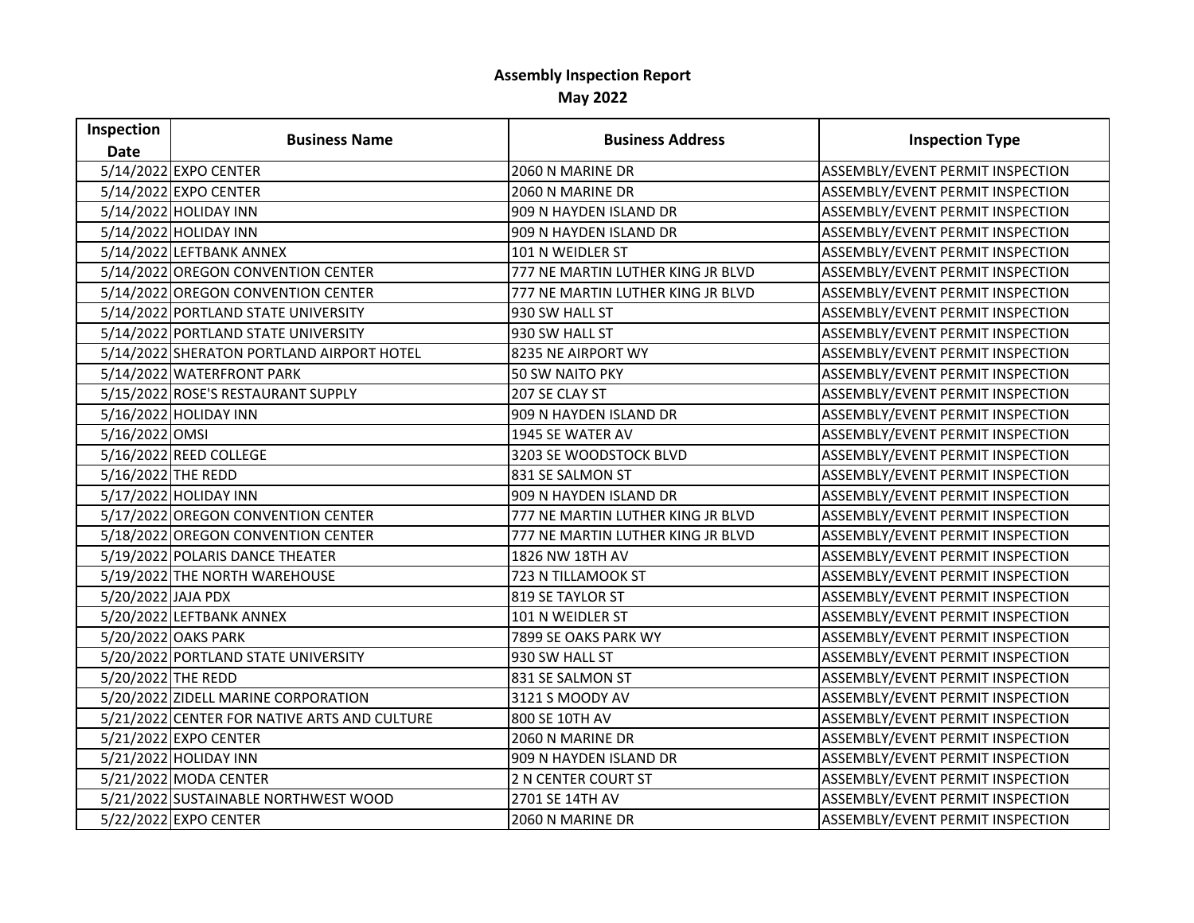## **Assembly Inspection Report May 2022**

| Inspection         | <b>Business Name</b>                         | <b>Business Address</b>           | <b>Inspection Type</b>           |
|--------------------|----------------------------------------------|-----------------------------------|----------------------------------|
| <b>Date</b>        |                                              |                                   |                                  |
|                    | 5/14/2022 EXPO CENTER                        | 2060 N MARINE DR                  | ASSEMBLY/EVENT PERMIT INSPECTION |
|                    | 5/14/2022 EXPO CENTER                        | 2060 N MARINE DR                  | ASSEMBLY/EVENT PERMIT INSPECTION |
|                    | 5/14/2022 HOLIDAY INN                        | 909 N HAYDEN ISLAND DR            | ASSEMBLY/EVENT PERMIT INSPECTION |
|                    | 5/14/2022 HOLIDAY INN                        | 909 N HAYDEN ISLAND DR            | ASSEMBLY/EVENT PERMIT INSPECTION |
|                    | 5/14/2022 LEFTBANK ANNEX                     | 101 N WEIDLER ST                  | ASSEMBLY/EVENT PERMIT INSPECTION |
|                    | 5/14/2022 OREGON CONVENTION CENTER           | 777 NE MARTIN LUTHER KING JR BLVD | ASSEMBLY/EVENT PERMIT INSPECTION |
|                    | 5/14/2022 OREGON CONVENTION CENTER           | 777 NE MARTIN LUTHER KING JR BLVD | ASSEMBLY/EVENT PERMIT INSPECTION |
|                    | 5/14/2022 PORTLAND STATE UNIVERSITY          | 930 SW HALL ST                    | ASSEMBLY/EVENT PERMIT INSPECTION |
|                    | 5/14/2022 PORTLAND STATE UNIVERSITY          | 930 SW HALL ST                    | ASSEMBLY/EVENT PERMIT INSPECTION |
|                    | 5/14/2022 SHERATON PORTLAND AIRPORT HOTEL    | 8235 NE AIRPORT WY                | ASSEMBLY/EVENT PERMIT INSPECTION |
|                    | 5/14/2022 WATERFRONT PARK                    | <b>50 SW NAITO PKY</b>            | ASSEMBLY/EVENT PERMIT INSPECTION |
|                    | 5/15/2022 ROSE'S RESTAURANT SUPPLY           | 207 SE CLAY ST                    | ASSEMBLY/EVENT PERMIT INSPECTION |
|                    | 5/16/2022 HOLIDAY INN                        | 909 N HAYDEN ISLAND DR            | ASSEMBLY/EVENT PERMIT INSPECTION |
| 5/16/2022 OMSI     |                                              | 1945 SE WATER AV                  | ASSEMBLY/EVENT PERMIT INSPECTION |
|                    | 5/16/2022 REED COLLEGE                       | 3203 SE WOODSTOCK BLVD            | ASSEMBLY/EVENT PERMIT INSPECTION |
| 5/16/2022 THE REDD |                                              | 831 SE SALMON ST                  | ASSEMBLY/EVENT PERMIT INSPECTION |
|                    | 5/17/2022 HOLIDAY INN                        | 909 N HAYDEN ISLAND DR            | ASSEMBLY/EVENT PERMIT INSPECTION |
|                    | 5/17/2022 OREGON CONVENTION CENTER           | 777 NE MARTIN LUTHER KING JR BLVD | ASSEMBLY/EVENT PERMIT INSPECTION |
|                    | 5/18/2022 OREGON CONVENTION CENTER           | 777 NE MARTIN LUTHER KING JR BLVD | ASSEMBLY/EVENT PERMIT INSPECTION |
|                    | 5/19/2022 POLARIS DANCE THEATER              | 1826 NW 18TH AV                   | ASSEMBLY/EVENT PERMIT INSPECTION |
|                    | 5/19/2022 THE NORTH WAREHOUSE                | 723 N TILLAMOOK ST                | ASSEMBLY/EVENT PERMIT INSPECTION |
| 5/20/2022 JAJA PDX |                                              | 819 SE TAYLOR ST                  | ASSEMBLY/EVENT PERMIT INSPECTION |
|                    | 5/20/2022 LEFTBANK ANNEX                     | 101 N WEIDLER ST                  | ASSEMBLY/EVENT PERMIT INSPECTION |
|                    | 5/20/2022 OAKS PARK                          | 7899 SE OAKS PARK WY              | ASSEMBLY/EVENT PERMIT INSPECTION |
|                    | 5/20/2022 PORTLAND STATE UNIVERSITY          | 930 SW HALL ST                    | ASSEMBLY/EVENT PERMIT INSPECTION |
| 5/20/2022 THE REDD |                                              | 831 SE SALMON ST                  | ASSEMBLY/EVENT PERMIT INSPECTION |
|                    | 5/20/2022 ZIDELL MARINE CORPORATION          | 3121 S MOODY AV                   | ASSEMBLY/EVENT PERMIT INSPECTION |
|                    | 5/21/2022 CENTER FOR NATIVE ARTS AND CULTURE | 800 SE 10TH AV                    | ASSEMBLY/EVENT PERMIT INSPECTION |
|                    | 5/21/2022 EXPO CENTER                        | 2060 N MARINE DR                  | ASSEMBLY/EVENT PERMIT INSPECTION |
|                    | 5/21/2022 HOLIDAY INN                        | 909 N HAYDEN ISLAND DR            | ASSEMBLY/EVENT PERMIT INSPECTION |
|                    | 5/21/2022 MODA CENTER                        | 2 N CENTER COURT ST               | ASSEMBLY/EVENT PERMIT INSPECTION |
|                    | 5/21/2022 SUSTAINABLE NORTHWEST WOOD         | 2701 SE 14TH AV                   | ASSEMBLY/EVENT PERMIT INSPECTION |
|                    | 5/22/2022 EXPO CENTER                        | 2060 N MARINE DR                  | ASSEMBLY/EVENT PERMIT INSPECTION |